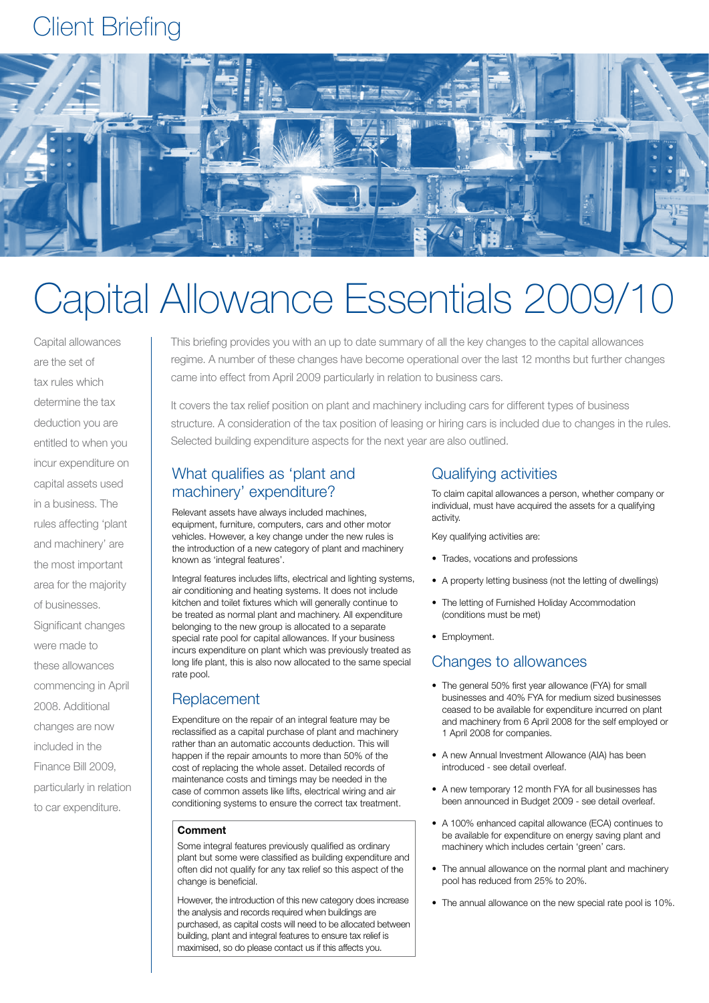## Client Briefing



# Capital Allowance Essentials 2009/10

Capital allowances are the set of tax rules which determine the tax deduction you are entitled to when you incur expenditure on capital assets used in a business. The rules affecting 'plant and machinery' are the most important area for the majority of businesses. Significant changes were made to these allowances commencing in April 2008. Additional changes are now included in the Finance Bill 2009, particularly in relation to car expenditure.

This briefing provides you with an up to date summary of all the key changes to the capital allowances regime. A number of these changes have become operational over the last 12 months but further changes came into effect from April 2009 particularly in relation to business cars.

It covers the tax relief position on plant and machinery including cars for different types of business structure. A consideration of the tax position of leasing or hiring cars is included due to changes in the rules. Selected building expenditure aspects for the next year are also outlined.

## What qualifies as 'plant and machinery' expenditure?

Relevant assets have always included machines, equipment, furniture, computers, cars and other motor vehicles. However, a key change under the new rules is the introduction of a new category of plant and machinery known as 'integral features'.

Integral features includes lifts, electrical and lighting systems, air conditioning and heating systems. It does not include kitchen and toilet fixtures which will generally continue to be treated as normal plant and machinery. All expenditure belonging to the new group is allocated to a separate special rate pool for capital allowances. If your business incurs expenditure on plant which was previously treated as long life plant, this is also now allocated to the same special rate pool.

## **Replacement**

Expenditure on the repair of an integral feature may be reclassified as a capital purchase of plant and machinery rather than an automatic accounts deduction. This will happen if the repair amounts to more than 50% of the cost of replacing the whole asset. Detailed records of maintenance costs and timings may be needed in the case of common assets like lifts, electrical wiring and air conditioning systems to ensure the correct tax treatment.

#### **Comment**

Some integral features previously qualified as ordinary plant but some were classified as building expenditure and often did not qualify for any tax relief so this aspect of the change is beneficial.

However, the introduction of this new category does increase the analysis and records required when buildings are purchased, as capital costs will need to be allocated between building, plant and integral features to ensure tax relief is maximised, so do please contact us if this affects you.

## Qualifying activities

To claim capital allowances a person, whether company or individual, must have acquired the assets for a qualifying activity.

Key qualifying activities are:

- Trades, vocations and professions
- A property letting business (not the letting of dwellings)
- The letting of Furnished Holiday Accommodation (conditions must be met)
- Employment.

### Changes to allowances

- The general 50% first year allowance (FYA) for small businesses and 40% FYA for medium sized businesses ceased to be available for expenditure incurred on plant and machinery from 6 April 2008 for the self employed or 1 April 2008 for companies.
- A new Annual Investment Allowance (AIA) has been introduced - see detail overleaf.
- A new temporary 12 month FYA for all businesses has been announced in Budget 2009 - see detail overleaf.
- A 100% enhanced capital allowance (ECA) continues to be available for expenditure on energy saving plant and machinery which includes certain 'green' cars.
- The annual allowance on the normal plant and machinery pool has reduced from 25% to 20%.
- The annual allowance on the new special rate pool is 10%.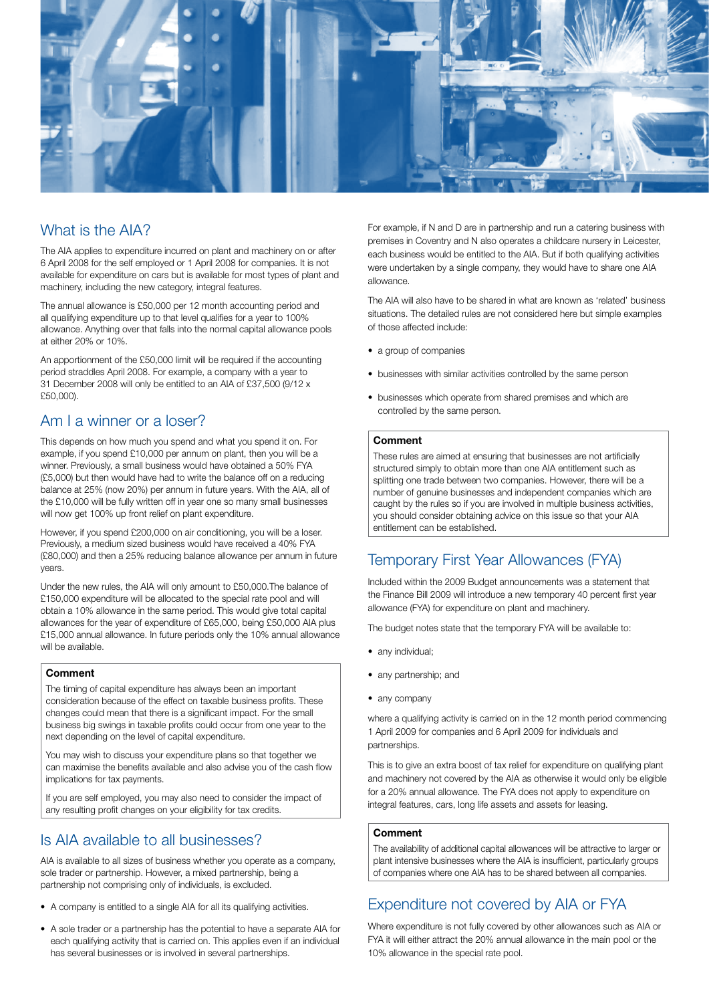

## What is the AIA?

The AIA applies to expenditure incurred on plant and machinery on or after 6 April 2008 for the self employed or 1 April 2008 for companies. It is not available for expenditure on cars but is available for most types of plant and machinery, including the new category, integral features.

The annual allowance is £50,000 per 12 month accounting period and all qualifying expenditure up to that level qualifies for a year to 100% allowance. Anything over that falls into the normal capital allowance pools at either 20% or 10%.

An apportionment of the £50,000 limit will be required if the accounting period straddles April 2008. For example, a company with a year to 31 December 2008 will only be entitled to an AIA of £37,500 (9/12 x £50,000).

## Am I a winner or a loser?

This depends on how much you spend and what you spend it on. For example, if you spend £10,000 per annum on plant, then you will be a winner. Previously, a small business would have obtained a 50% FYA (£5,000) but then would have had to write the balance off on a reducing balance at 25% (now 20%) per annum in future years. With the AIA, all of the £10,000 will be fully written off in year one so many small businesses will now get 100% up front relief on plant expenditure.

However, if you spend £200,000 on air conditioning, you will be a loser. Previously, a medium sized business would have received a 40% FYA (£80,000) and then a 25% reducing balance allowance per annum in future years.

Under the new rules, the AIA will only amount to £50,000.The balance of £150,000 expenditure will be allocated to the special rate pool and will obtain a 10% allowance in the same period. This would give total capital allowances for the year of expenditure of £65,000, being £50,000 AIA plus £15,000 annual allowance. In future periods only the 10% annual allowance will be available.

#### **Comment**

The timing of capital expenditure has always been an important consideration because of the effect on taxable business profits. These changes could mean that there is a significant impact. For the small business big swings in taxable profits could occur from one year to the next depending on the level of capital expenditure.

You may wish to discuss your expenditure plans so that together we can maximise the benefits available and also advise you of the cash flow implications for tax payments.

If you are self employed, you may also need to consider the impact of any resulting profit changes on your eligibility for tax credits.

## Is AIA available to all businesses?

AIA is available to all sizes of business whether you operate as a company, sole trader or partnership. However, a mixed partnership, being a partnership not comprising only of individuals, is excluded.

- A company is entitled to a single AIA for all its qualifying activities.
- A sole trader or a partnership has the potential to have a separate AIA for each qualifying activity that is carried on. This applies even if an individual has several businesses or is involved in several partnerships.

For example, if N and D are in partnership and run a catering business with premises in Coventry and N also operates a childcare nursery in Leicester, each business would be entitled to the AIA. But if both qualifying activities were undertaken by a single company, they would have to share one AIA allowance.

The AIA will also have to be shared in what are known as 'related' business situations. The detailed rules are not considered here but simple examples of those affected include:

- a group of companies
- businesses with similar activities controlled by the same person
- businesses which operate from shared premises and which are controlled by the same person.

#### **Comment**

These rules are aimed at ensuring that businesses are not artificially structured simply to obtain more than one AIA entitlement such as splitting one trade between two companies. However, there will be a number of genuine businesses and independent companies which are caught by the rules so if you are involved in multiple business activities, you should consider obtaining advice on this issue so that your AIA entitlement can be established.

## Temporary First Year Allowances (FYA)

Included within the 2009 Budget announcements was a statement that the Finance Bill 2009 will introduce a new temporary 40 percent first year allowance (FYA) for expenditure on plant and machinery.

The budget notes state that the temporary FYA will be available to:

- any individual;
- any partnership; and
- any company

where a qualifying activity is carried on in the 12 month period commencing 1 April 2009 for companies and 6 April 2009 for individuals and partnerships.

This is to give an extra boost of tax relief for expenditure on qualifying plant and machinery not covered by the AIA as otherwise it would only be eligible for a 20% annual allowance. The FYA does not apply to expenditure on integral features, cars, long life assets and assets for leasing.

#### **Comment**

The availability of additional capital allowances will be attractive to larger or plant intensive businesses where the AIA is insufficient, particularly groups of companies where one AIA has to be shared between all companies.

## Expenditure not covered by AIA or FYA

Where expenditure is not fully covered by other allowances such as AIA or FYA it will either attract the 20% annual allowance in the main pool or the 10% allowance in the special rate pool.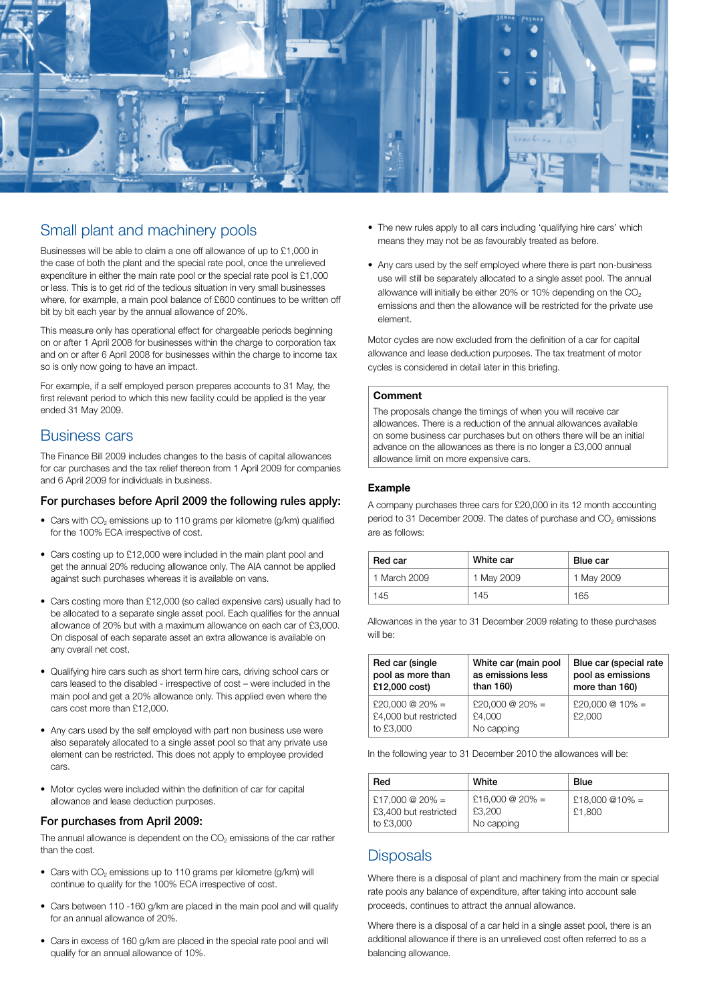

## Small plant and machinery pools

Businesses will be able to claim a one off allowance of up to £1,000 in the case of both the plant and the special rate pool, once the unrelieved expenditure in either the main rate pool or the special rate pool is £1,000 or less. This is to get rid of the tedious situation in very small businesses where, for example, a main pool balance of £600 continues to be written off bit by bit each year by the annual allowance of 20%.

This measure only has operational effect for chargeable periods beginning on or after 1 April 2008 for businesses within the charge to corporation tax and on or after 6 April 2008 for businesses within the charge to income tax so is only now going to have an impact.

For example, if a self employed person prepares accounts to 31 May, the first relevant period to which this new facility could be applied is the year ended 31 May 2009.

#### Business cars

The Finance Bill 2009 includes changes to the basis of capital allowances for car purchases and the tax relief thereon from 1 April 2009 for companies and 6 April 2009 for individuals in business.

#### For purchases before April 2009 the following rules apply:

- Cars with CO<sub>2</sub> emissions up to 110 grams per kilometre (g/km) qualified for the 100% ECA irrespective of cost.
- Cars costing up to £12,000 were included in the main plant pool and get the annual 20% reducing allowance only. The AIA cannot be applied against such purchases whereas it is available on vans.
- Cars costing more than £12,000 (so called expensive cars) usually had to be allocated to a separate single asset pool. Each qualifies for the annual allowance of 20% but with a maximum allowance on each car of £3,000. On disposal of each separate asset an extra allowance is available on any overall net cost.
- • Qualifying hire cars such as short term hire cars, driving school cars or cars leased to the disabled - irrespective of cost – were included in the main pool and get a 20% allowance only. This applied even where the cars cost more than £12,000.
- Any cars used by the self employed with part non business use were also separately allocated to a single asset pool so that any private use element can be restricted. This does not apply to employee provided cars.
- Motor cycles were included within the definition of car for capital allowance and lease deduction purposes.

#### For purchases from April 2009:

The annual allowance is dependent on the  $CO<sub>2</sub>$  emissions of the car rather than the cost.

- Cars with  $CO<sub>2</sub>$  emissions up to 110 grams per kilometre (g/km) will continue to qualify for the 100% ECA irrespective of cost.
- Cars between 110 -160 g/km are placed in the main pool and will qualify for an annual allowance of 20%.
- Cars in excess of 160 g/km are placed in the special rate pool and will qualify for an annual allowance of 10%.
- The new rules apply to all cars including 'qualifying hire cars' which means they may not be as favourably treated as before.
- Any cars used by the self employed where there is part non-business use will still be separately allocated to a single asset pool. The annual allowance will initially be either 20% or 10% depending on the  $CO<sub>2</sub>$ emissions and then the allowance will be restricted for the private use element.

Motor cycles are now excluded from the definition of a car for capital allowance and lease deduction purposes. The tax treatment of motor cycles is considered in detail later in this briefing.

#### **Comment**

The proposals change the timings of when you will receive car allowances. There is a reduction of the annual allowances available on some business car purchases but on others there will be an initial advance on the allowances as there is no longer a £3,000 annual allowance limit on more expensive cars.

#### **Example**

A company purchases three cars for £20,000 in its 12 month accounting period to 31 December 2009. The dates of purchase and CO<sub>2</sub> emissions are as follows:

| Red car      | White car  | <b>Blue car</b> |
|--------------|------------|-----------------|
| 1 March 2009 | 1 May 2009 | 1 May 2009      |
| 145          | 145        | 165             |

Allowances in the year to 31 December 2009 relating to these purchases will be

| Red car (single                                       | White car (main pool                    | Blue car (special rate      |
|-------------------------------------------------------|-----------------------------------------|-----------------------------|
| pool as more than                                     | as emissions less                       | pool as emissions           |
| £12,000 cost)                                         | than 160)                               | more than 160)              |
| £20,000 @ 20% =<br>£4,000 but restricted<br>to £3,000 | £20,000 @ 20% =<br>£4.000<br>No capping | £20,000 $@10\% =$<br>£2,000 |

In the following year to 31 December 2010 the allowances will be:

| Red                                                   | White                                   | <b>Blue</b>              |
|-------------------------------------------------------|-----------------------------------------|--------------------------|
| £17,000 @ 20% =<br>£3,400 but restricted<br>to £3,000 | £16,000 @ 20% =<br>£3,200<br>No capping | £18,000 @10% =<br>£1,800 |

### **Disposals**

Where there is a disposal of plant and machinery from the main or special rate pools any balance of expenditure, after taking into account sale proceeds, continues to attract the annual allowance.

Where there is a disposal of a car held in a single asset pool, there is an additional allowance if there is an unrelieved cost often referred to as a balancing allowance.